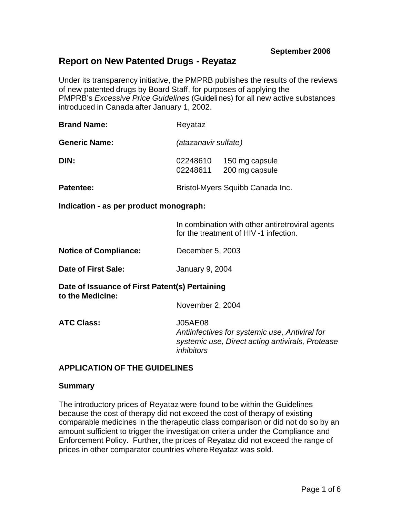# **Report on New Patented Drugs - Reyataz**

Under its transparency initiative, the PMPRB publishes the results of the reviews of new patented drugs by Board Staff, for purposes of applying the PMPRB's *Excessive Price Guidelines* (Guidelines) for all new active substances introduced in Canada after January 1, 2002.

| <b>Brand Name:</b>   | Reyataz                                                  |
|----------------------|----------------------------------------------------------|
| <b>Generic Name:</b> | (atazanavir sulfate)                                     |
| DIN:                 | 02248610<br>150 mg capsule<br>200 mg capsule<br>02248611 |
| Patentee:            | Bristol-Myers Squibb Canada Inc.                         |

**Indication - as per product monograph:**

In combination with other antiretroviral agents for the treatment of HIV -1 infection.

**Notice of Compliance:** December 5, 2003

**Date of First Sale:** January 9, 2004

**Date of Issuance of First Patent(s) Pertaining to the Medicine:**

November 2, 2004

**ATC Class:** J05AE08

*Antiinfectives for systemic use, Antiviral for systemic use, Direct acting antivirals, Protease inhibitors*

# **APPLICATION OF THE GUIDELINES**

#### **Summary**

The introductory prices of Reyataz were found to be within the Guidelines because the cost of therapy did not exceed the cost of therapy of existing comparable medicines in the therapeutic class comparison or did not do so by an amount sufficient to trigger the investigation criteria under the Compliance and Enforcement Policy. Further, the prices of Reyataz did not exceed the range of prices in other comparator countries where Reyataz was sold.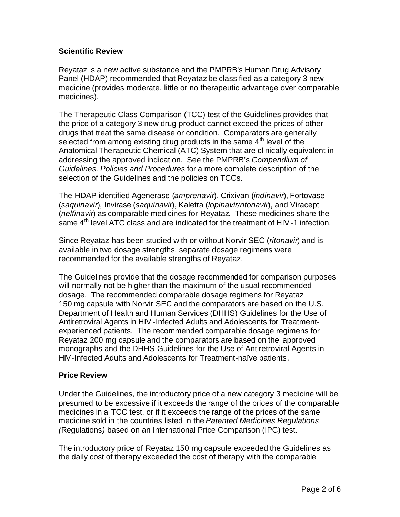# **Scientific Review**

Reyataz is a new active substance and the PMPRB's Human Drug Advisory Panel (HDAP) recommended that Reyataz be classified as a category 3 new medicine (provides moderate, little or no therapeutic advantage over comparable medicines).

The Therapeutic Class Comparison (TCC) test of the Guidelines provides that the price of a category 3 new drug product cannot exceed the prices of other drugs that treat the same disease or condition. Comparators are generally selected from among existing drug products in the same 4<sup>th</sup> level of the Anatomical Therapeutic Chemical (ATC) System that are clinically equivalent in addressing the approved indication. See the PMPRB's *Compendium of Guidelines, Policies and Procedures* for a more complete description of the selection of the Guidelines and the policies on TCCs.

The HDAP identified Agenerase (*amprenavir*), Crixivan (*indinavir*), Fortovase (*saquinavir*), Invirase (*saquinavir*), Kaletra (*lopinavir/ritonavir*), and Viracept (*nelfinavir*) as comparable medicines for Reyataz. These medicines share the same  $4<sup>th</sup>$  level ATC class and are indicated for the treatment of HIV-1 infection.

Since Reyataz has been studied with or without Norvir SEC (*ritonavir*) and is available in two dosage strengths, separate dosage regimens were recommended for the available strengths of Reyataz.

The Guidelines provide that the dosage recommended for comparison purposes will normally not be higher than the maximum of the usual recommended dosage. The recommended comparable dosage regimens for Reyataz 150 mg capsule with Norvir SEC and the comparators are based on the U.S. Department of Health and Human Services (DHHS) Guidelines for the Use of Antiretroviral Agents in HIV -Infected Adults and Adolescents for Treatmentexperienced patients. The recommended comparable dosage regimens for Reyataz 200 mg capsule and the comparators are based on the approved monographs and the DHHS Guidelines for the Use of Antiretroviral Agents in HIV-Infected Adults and Adolescents for Treatment-naïve patients.

# **Price Review**

Under the Guidelines, the introductory price of a new category 3 medicine will be presumed to be excessive if it exceeds the range of the prices of the comparable medicines in a TCC test, or if it exceeds the range of the prices of the same medicine sold in the countries listed in the *Patented Medicines Regulations (*Regulations*)* based on an International Price Comparison (IPC) test.

The introductory price of Reyataz 150 mg capsule exceeded the Guidelines as the daily cost of therapy exceeded the cost of therapy with the comparable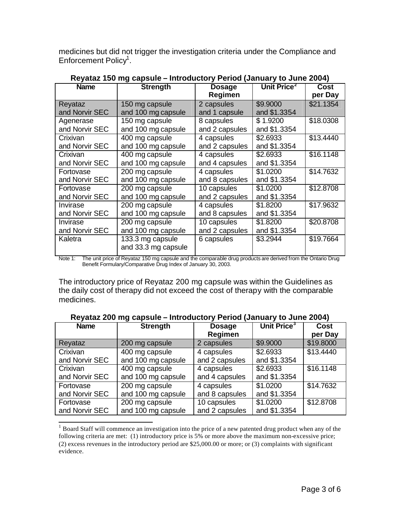medicines but did not trigger the investigation criteria under the Compliance and Enforcement Policy<sup>1</sup>.

| <b>Name</b>    | <b>Strength</b>                         | <b>Dosage</b><br>Regimen | Unit Price <sup>2</sup> | Cost<br>per Day |
|----------------|-----------------------------------------|--------------------------|-------------------------|-----------------|
| Reyataz        | 150 mg capsule                          | 2 capsules               | \$9.9000                | \$21.1354       |
| and Norvir SEC | and 100 mg capsule                      | and 1 capsule            | and \$1.3354            |                 |
| Agenerase      | 150 mg capsule                          | 8 capsules               | \$1.9200                | \$18.0308       |
| and Norvir SEC | and 100 mg capsule                      | and 2 capsules           | and \$1.3354            |                 |
| Crixivan       | 400 mg capsule                          | 4 capsules               | \$2.6933                | \$13.4440       |
| and Norvir SEC | and 100 mg capsule                      | and 2 capsules           | and \$1.3354            |                 |
| Crixivan       | 400 mg capsule                          | 4 capsules               | \$2.6933                | \$16.1148       |
| and Norvir SEC | and 100 mg capsule                      | and 4 capsules           | and \$1.3354            |                 |
| Fortovase      | 200 mg capsule                          | 4 capsules               | \$1.0200                | \$14.7632       |
| and Norvir SEC | and 100 mg capsule                      | and 8 capsules           | and \$1.3354            |                 |
| Fortovase      | 200 mg capsule                          | 10 capsules              | \$1.0200                | \$12.8708       |
| and Norvir SEC | and 100 mg capsule                      | and 2 capsules           | and \$1.3354            |                 |
| Invirase       | 200 mg capsule                          | 4 capsules               | \$1.8200                | \$17.9632       |
| and Norvir SEC | and 100 mg capsule                      | and 8 capsules           | and \$1.3354            |                 |
| Invirase       | 200 mg capsule                          | 10 capsules              | \$1.8200                | \$20.8708       |
| and Norvir SEC | and 100 mg capsule                      | and 2 capsules           | and \$1.3354            |                 |
| Kaletra        | 133.3 mg capsule<br>and 33.3 mg capsule | 6 capsules               | \$3.2944                | \$19.7664       |

**Reyataz 150 mg capsule – Introductory Period (January to June 2004)**

Note 1: The unit price of Reyataz 150 mg capsule and the comparable drug products are derived from the Ontario Drug Benefit Formulary/Comparative Drug Index of January 30, 2003.

The introductory price of Reyataz 200 mg capsule was within the Guidelines as the daily cost of therapy did not exceed the cost of therapy with the comparable medicines.

| Reyataz 200 mg capsule - Introductory Period (January to June 2004) |  |  |  |  |
|---------------------------------------------------------------------|--|--|--|--|
|---------------------------------------------------------------------|--|--|--|--|

| <b>Name</b>    | <b>Strength</b>    | <b>Dosage</b>  | Unit Price <sup>3</sup> | <b>Cost</b> |
|----------------|--------------------|----------------|-------------------------|-------------|
|                |                    | Regimen        |                         | per Day     |
| Reyataz        | 200 mg capsule     | 2 capsules     | \$9.9000                | \$19.8000   |
| Crixivan       | 400 mg capsule     | 4 capsules     | \$2.6933                | \$13.4440   |
| and Norvir SEC | and 100 mg capsule | and 2 capsules | and \$1.3354            |             |
| Crixivan       | 400 mg capsule     | 4 capsules     | \$2.6933                | \$16.1148   |
| and Norvir SEC | and 100 mg capsule | and 4 capsules | and \$1.3354            |             |
| Fortovase      | 200 mg capsule     | 4 capsules     | \$1.0200                | \$14.7632   |
| and Norvir SEC | and 100 mg capsule | and 8 capsules | and \$1.3354            |             |
| Fortovase      | 200 mg capsule     | 10 capsules    | \$1.0200                | \$12.8708   |
| and Norvir SEC | and 100 mg capsule | and 2 capsules | and \$1.3354            |             |

<sup>&</sup>lt;sup>1</sup> Board Staff will commence an investigation into the price of a new patented drug product when any of the following criteria are met: (1) introductory price is 5% or more above the maximum non-excessive price; (2) excess revenues in the introductory period are \$25,000.00 or more; or (3) complaints with significant evidence.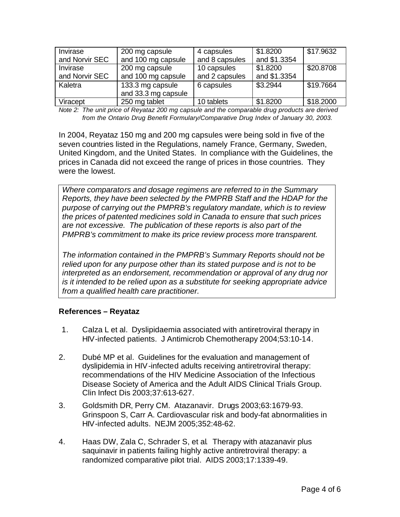| Invirase       | 200 mg capsule      | 4 capsules     | \$1.8200     | \$17.9632 |
|----------------|---------------------|----------------|--------------|-----------|
| and Norvir SEC | and 100 mg capsule  | and 8 capsules | and \$1.3354 |           |
| Invirase       | 200 mg capsule      | 10 capsules    | \$1.8200     | \$20.8708 |
| and Norvir SEC | and 100 mg capsule  | and 2 capsules | and \$1.3354 |           |
| Kaletra        | 133.3 mg capsule    | 6 capsules     | \$3.2944     | \$19.7664 |
|                | and 33.3 mg capsule |                |              |           |
| Viracept       | 250 mg tablet       | 10 tablets     | \$1.8200     | \$18.2000 |

*Note 2: The unit price of Reyataz 200 mg capsule and the comparable drug products are derived from the Ontario Drug Benefit Formulary/Comparative Drug Index of January 30, 2003.* 

In 2004, Reyataz 150 mg and 200 mg capsules were being sold in five of the seven countries listed in the Regulations, namely France, Germany, Sweden, United Kingdom, and the United States. In compliance with the Guidelines, the prices in Canada did not exceed the range of prices in those countries. They were the lowest.

*Where comparators and dosage regimens are referred to in the Summary Reports, they have been selected by the PMPRB Staff and the HDAP for the purpose of carrying out the PMPRB's regulatory mandate, which is to review the prices of patented medicines sold in Canada to ensure that such prices are not excessive. The publication of these reports is also part of the PMPRB's commitment to make its price review process more transparent.*

*The information contained in the PMPRB's Summary Reports should not be relied upon for any purpose other than its stated purpose and is not to be interpreted as an endorsement, recommendation or approval of any drug nor is it intended to be relied upon as a substitute for seeking appropriate advice from a qualified health care practitioner.*

# **References – Reyataz**

- 1. Calza L et al. Dyslipidaemia associated with antiretroviral therapy in HIV-infected patients. J Antimicrob Chemotherapy 2004;53:10-14.
- 2. Dubé MP et al. Guidelines for the evaluation and management of dyslipidemia in HIV-infected adults receiving antiretroviral therapy: recommendations of the HIV Medicine Association of the Infectious Disease Society of America and the Adult AIDS Clinical Trials Group. Clin Infect Dis 2003;37:613-627.
- 3. Goldsmith DR, Perry CM. Atazanavir. Drugs 2003;63:1679-93. Grinspoon S, Carr A. Cardiovascular risk and body-fat abnormalities in HIV-infected adults. NEJM 2005;352:48-62.
- 4. Haas DW, Zala C, Schrader S, et al. Therapy with atazanavir plus saquinavir in patients failing highly active antiretroviral therapy: a randomized comparative pilot trial. AIDS 2003;17:1339-49.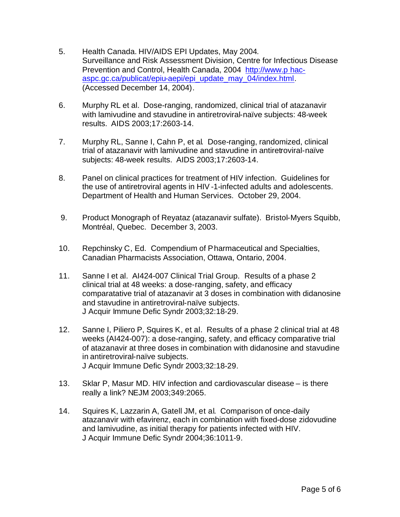- 5. Health Canada. HIV/AIDS EPI Updates, May 2004*.* Surveillance and Risk Assessment Division, Centre for Infectious Disease Prevention and Control, Health Canada, 2004 http://www.p hacaspc.gc.ca/publicat/epiu-aepi/epi\_update\_may\_04/index.html. (Accessed December 14, 2004).
- 6. Murphy RL et al. Dose-ranging, randomized, clinical trial of atazanavir with lamivudine and stavudine in antiretroviral-naïve subjects: 48-week results. AIDS 2003;17:2603-14.
- 7. Murphy RL, Sanne I, Cahn P, et al. Dose-ranging, randomized, clinical trial of atazanavir with lamivudine and stavudine in antiretroviral-naïve subjects: 48-week results. AIDS 2003;17:2603-14.
- 8. Panel on clinical practices for treatment of HIV infection. Guidelines for the use of antiretroviral agents in HIV -1-infected adults and adolescents. Department of Health and Human Services. October 29, 2004.
- 9. Product Monograph of Reyataz (atazanavir sulfate). Bristol-Myers Squibb, Montréal, Quebec. December 3, 2003.
- 10. Repchinsky C, Ed. Compendium of Pharmaceutical and Specialties, Canadian Pharmacists Association, Ottawa, Ontario, 2004.
- 11. Sanne I et al. AI424-007 Clinical Trial Group. Results of a phase 2 clinical trial at 48 weeks: a dose-ranging, safety, and efficacy comparatative trial of atazanavir at 3 doses in combination with didanosine and stavudine in antiretroviral-naïve subjects. J Acquir Immune Defic Syndr 2003;32:18-29.
- 12. Sanne I, Piliero P, Squires K, et al. Results of a phase 2 clinical trial at 48 weeks (AI424-007): a dose-ranging, safety, and efficacy comparative trial of atazanavir at three doses in combination with didanosine and stavudine in antiretroviral-naïve subjects. J Acquir Immune Defic Syndr 2003;32:18-29.
- 13. Sklar P, Masur MD. HIV infection and cardiovascular disease is there really a link? NEJM 2003;349:2065.
- 14. Squires K, Lazzarin A, Gatell JM, et al. Comparison of once-daily atazanavir with efavirenz, each in combination with fixed-dose zidovudine and lamivudine, as initial therapy for patients infected with HIV. J Acquir Immune Defic Syndr 2004;36:1011-9.